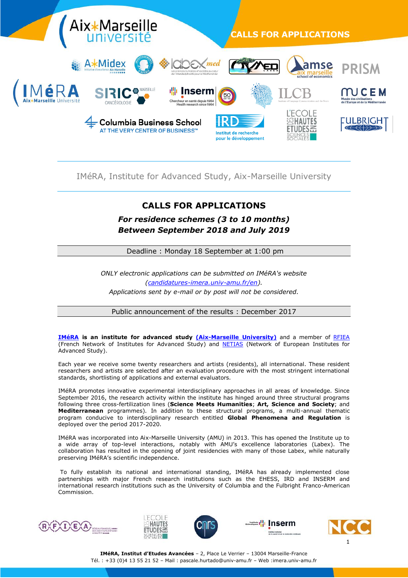

# IMéRA, Institute for Advanced Study, Aix-Marseille University

# **CALLS FOR APPLICATIONS**

*For residence schemes (3 to 10 months) Between September 2018 and July 2019* 

Deadline : Monday 18 September at 1:00 pm

*ONLY electronic applications can be submitted on IMéRA's website [\(candidatures-imera.univ-amu.fr/en\)](https://candidatures-imera.univ-amu.fr/en). Applications sent by e-mail or by post will not be considered.*

Public announcement of the results : December 2017

**[IMéRA](https://imera.univ-amu.fr/en) is an institute for advanced study [\(Aix-Marseille University\)](https://www.univ-amu.fr/en)** and a member of [RFIEA](http://www.rfiea.fr/) (French Network of Institutes for Advanced Study) and [NETIAS](http://www.2018-2019.eurias-fp.eu/netias) (Network of European Institutes for Advanced Study).

Each year we receive some twenty researchers and artists (residents), all international. These resident researchers and artists are selected after an evaluation procedure with the most stringent international standards, shortlisting of applications and external evaluators.

IMéRA promotes innovative experimental interdisciplinary approaches in all areas of knowledge. Since September 2016, the research activity within the institute has hinged around three structural programs following three cross-fertilization lines (**Science Meets Humanities**; **Art, Science and Society**; and **Mediterranean** programmes). In addition to these structural programs, a multi-annual thematic program conducive to interdisciplinary research entitled **Global Phenomena and Regulation** is deployed over the period 2017-2020.

IMéRA was incorporated into Aix-Marseille University (AMU) in 2013. This has opened the Institute up to a wide array of top-level interactions, notably with AMU's excellence laboratories (Labex). The collaboration has resulted in the opening of joint residencies with many of those Labex, while naturally preserving IMéRA's scientific independence.

To fully establish its national and international standing, IMéRA has already implemented close partnerships with major French research institutions such as the EHESS, IRD and INSERM and international research institutions such as the University of Columbia and the Fulbright Franco-American Commission.











**IMéRA, Institut d'Etudes Avancées** – 2, Place Le Verrier – 13004 Marseille-France Tél. : +33 (0)4 13 55 21 52 – Mail : [pascale.hurtado@univ-amu.fr](mailto:pascale.hurtado@univ-amu.fr) – Web :imera.univ-amu.fr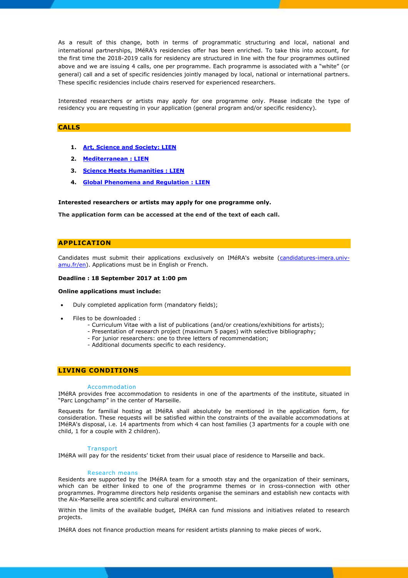As a result of this change, both in terms of programmatic structuring and local, national and international partnerships, IMéRA's residencies offer has been enriched. To take this into account, for the first time the 2018-2019 calls for residency are structured in line with the four programmes outlined above and we are issuing 4 calls, one per programme. Each programme is associated with a "white" (or general) call and a set of specific residencies jointly managed by local, national or international partners. These specific residencies include chairs reserved for experienced researchers.

Interested researchers or artists may apply for one programme only. Please indicate the type of residency you are requesting in your application (general program and/or specific residency).

## **CALLS**

- **1. [Art, Science and Society: LIEN](https://candidatures-imera.univ-amu.fr/en/call_for_application/art-science-and-society-programme)**
- **2. [Mediterranean](https://candidatures-imera.univ-amu.fr/en/call_for_application/mediterranean-programme) : LIEN**
- **3. [Science Meets Humanities](https://candidatures-imera.univ-amu.fr/en/call_for_application/science-meets-humanities-programme) : LIEN**
- **4. [Global Phenomena and Regulation](https://candidatures-imera.univ-amu.fr/en/call_for_application/global-phenomena-and-regulation-programme) : LIEN**

#### **Interested researchers or artists may apply for one programme only.**

**The application form can be accessed at the end of the text of each call.**

# **APPLICATION**

Candidates must submit their applications exclusively on IMéRA's website [\(candidatures-imera.univ](https://candidatures-imera.univ-amu.fr/en)[amu.fr/en\)](https://candidatures-imera.univ-amu.fr/en). Applications must be in English or French.

### **Deadline : 18 September 2017 at 1:00 pm**

#### **Online applications must include:**

- Duly completed application form (mandatory fields);
- Files to be downloaded :
	- Curriculum Vitae with a list of publications (and/or creations/exhibitions for artists);
	- Presentation of research project (maximum 5 pages) with selective bibliography;
	- For junior researchers: one to three letters of recommendation;
	- Additional documents specific to each residency.

## **LIVING CONDITIONS**

#### Accommodation

IMéRA provides free accommodation to residents in one of the apartments of the institute, situated in "Parc Longchamp" in the center of Marseille.

Requests for familial hosting at IMéRA shall absolutely be mentioned in the application form, for consideration. These requests will be satisfied within the constraints of the available accommodations at IMéRA's disposal, i.e. 14 apartments from which 4 can host families (3 apartments for a couple with one child, 1 for a couple with 2 children).

#### **Transport**

IMéRA will pay for the residents' ticket from their usual place of residence to Marseille and back.

#### Research means

Residents are supported by the IMéRA team for a smooth stay and the organization of their seminars, which can be either linked to one of the programme themes or in cross-connection with other programmes. Programme directors help residents organise the seminars and establish new contacts with the Aix-Marseille area scientific and cultural environment.

Within the limits of the available budget, IMéRA can fund missions and initiatives related to research projects.

IMéRA does not finance production means for resident artists planning to make pieces of work.